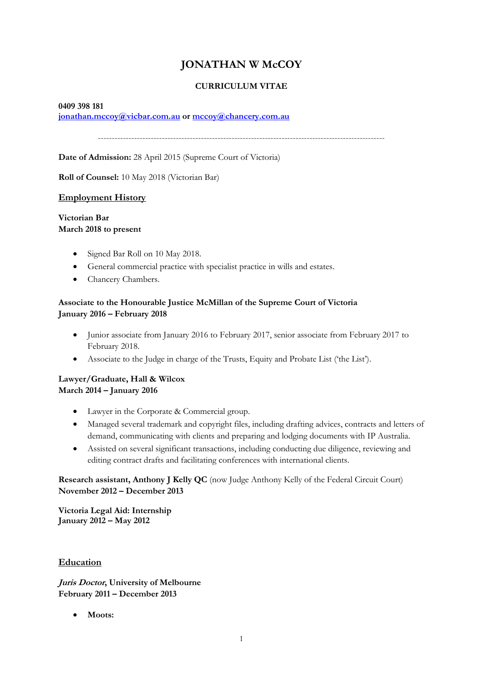## **JONATHAN W McCOY**

### **CURRICULUM VITAE**

#### **0409 398 181**

**[jonathan.mccoy@vicbar.com.au](mailto:jonathan.mccoy@vicbar.com.au) or [mccoy@chancery.com.au](mailto:mccoy@chancery.com.au)**

-------------------------------------------------------------------------------------------------------

**Date of Admission:** 28 April 2015 (Supreme Court of Victoria)

**Roll of Counsel:** 10 May 2018 (Victorian Bar)

#### **Employment History**

### **Victorian Bar March 2018 to present**

- Signed Bar Roll on 10 May 2018.
- General commercial practice with specialist practice in wills and estates.
- Chancery Chambers.

#### **Associate to the Honourable Justice McMillan of the Supreme Court of Victoria January 2016 – February 2018**

- Junior associate from January 2016 to February 2017, senior associate from February 2017 to February 2018.
- Associate to the Judge in charge of the Trusts, Equity and Probate List ('the List').

#### **Lawyer/Graduate, Hall & Wilcox March 2014 – January 2016**

- Lawyer in the Corporate & Commercial group.
- Managed several trademark and copyright files, including drafting advices, contracts and letters of demand, communicating with clients and preparing and lodging documents with IP Australia.
- Assisted on several significant transactions, including conducting due diligence, reviewing and editing contract drafts and facilitating conferences with international clients.

#### **Research assistant, Anthony J Kelly QC** (now Judge Anthony Kelly of the Federal Circuit Court) **November 2012 – December 2013**

**Victoria Legal Aid: Internship January 2012 – May 2012**

#### **Education**

**Juris Doctor, University of Melbourne February 2011 – December 2013**

• **Moots:**